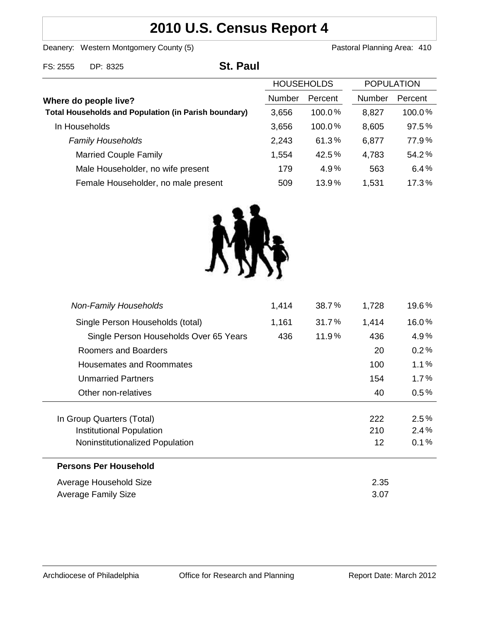# **2010 U.S. Census Report 4**

Deanery: Western Montgomery County (5) County (5) Pastoral Planning Area: 410

| FS: 2555              | DP: 8325                                                    | <b>St. Paul</b> |                   |         |                   |         |
|-----------------------|-------------------------------------------------------------|-----------------|-------------------|---------|-------------------|---------|
|                       |                                                             |                 | <b>HOUSEHOLDS</b> |         | <b>POPULATION</b> |         |
| Where do people live? |                                                             |                 | Number            | Percent | <b>Number</b>     | Percent |
|                       | <b>Total Households and Population (in Parish boundary)</b> |                 | 3,656             | 100.0%  | 8,827             | 100.0%  |
|                       | In Households                                               |                 | 3,656             | 100.0%  | 8,605             | 97.5%   |
|                       | <b>Family Households</b>                                    |                 | 2,243             | 61.3%   | 6,877             | 77.9%   |
|                       | <b>Married Couple Family</b>                                |                 | 1,554             | 42.5%   | 4,783             | 54.2%   |
|                       | Male Householder, no wife present                           |                 | 179               | 4.9%    | 563               | 6.4%    |
|                       | Female Householder, no male present                         |                 | 509               | 13.9%   | 1,531             | 17.3%   |



| <b>Non-Family Households</b>           | 1,414 | 38.7% | 1,728 | 19.6% |
|----------------------------------------|-------|-------|-------|-------|
| Single Person Households (total)       | 1,161 | 31.7% | 1,414 | 16.0% |
| Single Person Households Over 65 Years | 436   | 11.9% | 436   | 4.9%  |
| Roomers and Boarders                   |       |       | 20    | 0.2%  |
| Housemates and Roommates               |       |       | 100   | 1.1%  |
| <b>Unmarried Partners</b>              |       |       | 154   | 1.7%  |
| Other non-relatives                    |       |       | 40    | 0.5%  |
|                                        |       |       |       |       |
| In Group Quarters (Total)              |       |       | 222   | 2.5%  |
| <b>Institutional Population</b>        |       |       | 210   | 2.4%  |
| Noninstitutionalized Population        |       |       | 12    | 0.1%  |
| <b>Persons Per Household</b>           |       |       |       |       |
| Average Household Size                 |       |       | 2.35  |       |
| <b>Average Family Size</b>             |       |       | 3.07  |       |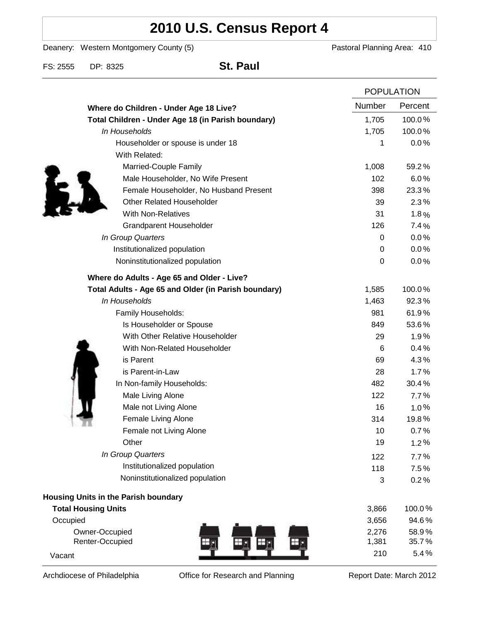# **2010 U.S. Census Report 4**

Deanery: Western Montgomery County (5) Deanery: Western Montgomery County (5)

FS: 2555 DP: 8325 **St. Paul**

|                                                      |               | <b>POPULATION</b> |  |
|------------------------------------------------------|---------------|-------------------|--|
| Where do Children - Under Age 18 Live?               | <b>Number</b> | Percent           |  |
| Total Children - Under Age 18 (in Parish boundary)   |               | 100.0%            |  |
| In Households                                        |               | 100.0%            |  |
| Householder or spouse is under 18                    | 1             | 0.0%              |  |
| With Related:                                        |               |                   |  |
| Married-Couple Family                                | 1,008         | 59.2%             |  |
| Male Householder, No Wife Present                    | 102           | 6.0%              |  |
| Female Householder, No Husband Present               | 398           | 23.3%             |  |
| <b>Other Related Householder</b>                     | 39            | 2.3%              |  |
| <b>With Non-Relatives</b>                            | 31            | 1.8%              |  |
| <b>Grandparent Householder</b>                       | 126           | 7.4%              |  |
| In Group Quarters                                    | 0             | 0.0%              |  |
| Institutionalized population                         | $\pmb{0}$     | 0.0%              |  |
| Noninstitutionalized population                      | $\pmb{0}$     | 0.0%              |  |
| Where do Adults - Age 65 and Older - Live?           |               |                   |  |
| Total Adults - Age 65 and Older (in Parish boundary) | 1,585         | 100.0%            |  |
| In Households                                        | 1,463         | 92.3%             |  |
| Family Households:                                   | 981           | 61.9%             |  |
| Is Householder or Spouse                             | 849           | 53.6%             |  |
| With Other Relative Householder                      | 29            | 1.9%              |  |
| With Non-Related Householder                         | 6             | 0.4%              |  |
| is Parent                                            | 69            | 4.3%              |  |
| is Parent-in-Law                                     | 28            | 1.7%              |  |
| In Non-family Households:                            | 482           | 30.4%             |  |
| Male Living Alone                                    | 122           | 7.7%              |  |
| Male not Living Alone                                | 16            | 1.0%              |  |
| Female Living Alone                                  | 314           | 19.8%             |  |
| Female not Living Alone                              | 10            | 0.7%              |  |
| Other                                                | 19            | 1.2%              |  |
| In Group Quarters                                    | 122           | 7.7%              |  |
| Institutionalized population                         | 118           | 7.5%              |  |
| Noninstitutionalized population                      | 3             | 0.2%              |  |
| Housing Units in the Parish boundary                 |               |                   |  |
| <b>Total Housing Units</b>                           | 3,866         | 100.0%            |  |
| Occupied                                             | 3,656         | 94.6%             |  |
| Owner-Occupied                                       |               | 58.9%             |  |
| Renter-Occupied                                      |               | 35.7%             |  |
| Vacant                                               | 210           | 5.4%              |  |

Archdiocese of Philadelphia **Office for Research and Planning** Report Date: March 2012